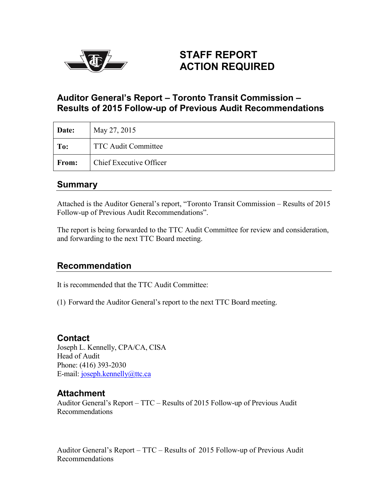

# **STAFF REPORT ACTION REQUIRED**

# **Auditor General's Report – Toronto Transit Commission – Results of 2015 Follow-up of Previous Audit Recommendations**

| Date:        | May 27, 2015                   |
|--------------|--------------------------------|
| To:          | <b>TTC Audit Committee</b>     |
| <b>From:</b> | <b>Chief Executive Officer</b> |

# **Summary**

Attached is the Auditor General's report, "Toronto Transit Commission – Results of 2015 Follow-up of Previous Audit Recommendations".

The report is being forwarded to the TTC Audit Committee for review and consideration, and forwarding to the next TTC Board meeting.

# **Recommendation**

It is recommended that the TTC Audit Committee:

(1) Forward the Auditor General's report to the next TTC Board meeting.

### **Contact**

Joseph L. Kennelly, CPA/CA, CISA Head of Audit Phone: (416) 393-2030 E-mail: [joseph.kennelly@ttc.ca](mailto:joseph.kennelly@ttc.ca)

# **Attachment**

Auditor General's Report – TTC – Results of 2015 Follow-up of Previous Audit Recommendations

Auditor General's Report – TTC – Results of 2015 Follow-up of Previous Audit Recommendations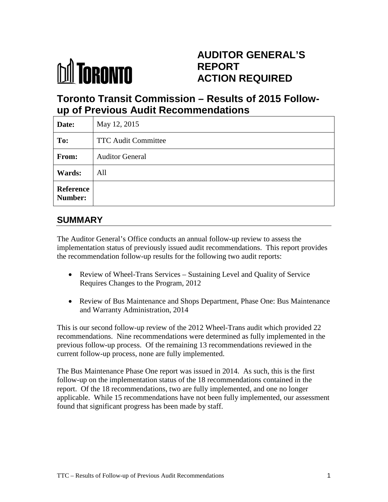

# **AUDITOR GENERAL'S REPORT ACTION REQUIRED**

# **Toronto Transit Commission – Results of 2015 Followup of Previous Audit Recommendations**

| Date:                       | May 12, 2015               |
|-----------------------------|----------------------------|
| To:                         | <b>TTC Audit Committee</b> |
| From:                       | <b>Auditor General</b>     |
| Wards:                      | All                        |
| <b>Reference</b><br>Number: |                            |

# **SUMMARY**

The Auditor General's Office conducts an annual follow-up review to assess the implementation status of previously issued audit recommendations. This report provides the recommendation follow-up results for the following two audit reports:

- Review of Wheel-Trans Services Sustaining Level and Quality of Service Requires Changes to the Program, 2012
- Review of Bus Maintenance and Shops Department, Phase One: Bus Maintenance and Warranty Administration, 2014

This is our second follow-up review of the 2012 Wheel-Trans audit which provided 22 recommendations. Nine recommendations were determined as fully implemented in the previous follow-up process. Of the remaining 13 recommendations reviewed in the current follow-up process, none are fully implemented.

The Bus Maintenance Phase One report was issued in 2014. As such, this is the first follow-up on the implementation status of the 18 recommendations contained in the report. Of the 18 recommendations, two are fully implemented, and one no longer applicable. While 15 recommendations have not been fully implemented, our assessment found that significant progress has been made by staff.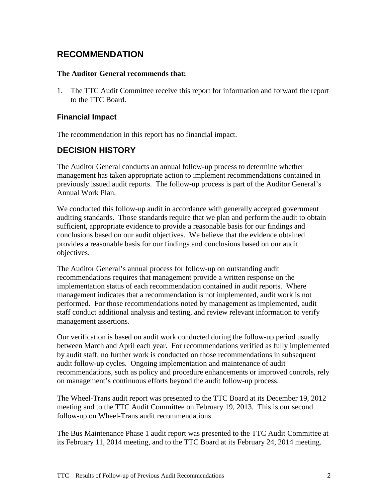# **RECOMMENDATION**

#### **The Auditor General recommends that:**

1. The TTC Audit Committee receive this report for information and forward the report to the TTC Board.

### **Financial Impact**

The recommendation in this report has no financial impact.

## **DECISION HISTORY**

The Auditor General conducts an annual follow-up process to determine whether management has taken appropriate action to implement recommendations contained in previously issued audit reports. The follow-up process is part of the Auditor General's Annual Work Plan.

We conducted this follow-up audit in accordance with generally accepted government auditing standards. Those standards require that we plan and perform the audit to obtain sufficient, appropriate evidence to provide a reasonable basis for our findings and conclusions based on our audit objectives. We believe that the evidence obtained provides a reasonable basis for our findings and conclusions based on our audit objectives.

The Auditor General's annual process for follow-up on outstanding audit recommendations requires that management provide a written response on the implementation status of each recommendation contained in audit reports. Where management indicates that a recommendation is not implemented, audit work is not performed. For those recommendations noted by management as implemented, audit staff conduct additional analysis and testing, and review relevant information to verify management assertions.

Our verification is based on audit work conducted during the follow-up period usually between March and April each year. For recommendations verified as fully implemented by audit staff, no further work is conducted on those recommendations in subsequent audit follow-up cycles. Ongoing implementation and maintenance of audit recommendations, such as policy and procedure enhancements or improved controls, rely on management's continuous efforts beyond the audit follow-up process.

The Wheel-Trans audit report was presented to the TTC Board at its December 19, 2012 meeting and to the TTC Audit Committee on February 19, 2013. This is our second follow-up on Wheel-Trans audit recommendations.

The Bus Maintenance Phase 1 audit report was presented to the TTC Audit Committee at its February 11, 2014 meeting, and to the TTC Board at its February 24, 2014 meeting.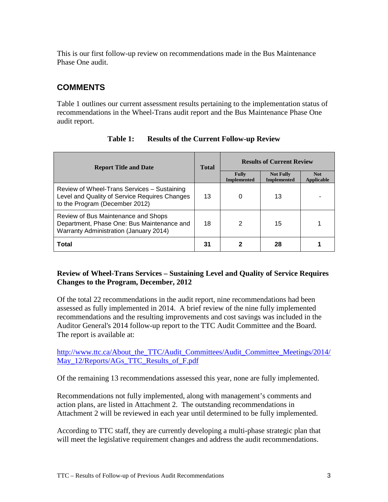This is our first follow-up review on recommendations made in the Bus Maintenance Phase One audit.

# **COMMENTS**

Table 1 outlines our current assessment results pertaining to the implementation status of recommendations in the Wheel-Trans audit report and the Bus Maintenance Phase One audit report.

| <b>Report Title and Date</b>                                                                                                   | <b>Total</b> | <b>Results of Current Review</b>   |                                        |                                 |
|--------------------------------------------------------------------------------------------------------------------------------|--------------|------------------------------------|----------------------------------------|---------------------------------|
|                                                                                                                                |              | <b>Fully</b><br><b>Implemented</b> | <b>Not Fully</b><br><b>Implemented</b> | <b>Not</b><br><b>Applicable</b> |
| Review of Wheel-Trans Services - Sustaining<br>Level and Quality of Service Requires Changes<br>to the Program (December 2012) | 13           | 0                                  | 13                                     |                                 |
| Review of Bus Maintenance and Shops<br>Department, Phase One: Bus Maintenance and<br>Warranty Administration (January 2014)    | 18           | 2                                  | 15                                     |                                 |
| <b>Total</b>                                                                                                                   | 31           |                                    | 28                                     |                                 |

**Table 1: Results of the Current Follow-up Review**

### **Review of Wheel-Trans Services – Sustaining Level and Quality of Service Requires Changes to the Program, December, 2012**

Of the total 22 recommendations in the audit report, nine recommendations had been assessed as fully implemented in 2014. A brief review of the nine fully implemented recommendations and the resulting improvements and cost savings was included in the Auditor General's 2014 follow-up report to the TTC Audit Committee and the Board. The report is available at:

[http://www.ttc.ca/About\\_the\\_TTC/Audit\\_Committees/Audit\\_Committee\\_Meetings/2014/](http://www.ttc.ca/About_the_TTC/Audit_Committees/Audit_Committee_Meetings/2014/May_12/Reports/AGs_TTC_Results_of_F.pdf) [May\\_12/Reports/AGs\\_TTC\\_Results\\_of\\_F.pdf](http://www.ttc.ca/About_the_TTC/Audit_Committees/Audit_Committee_Meetings/2014/May_12/Reports/AGs_TTC_Results_of_F.pdf)

Of the remaining 13 recommendations assessed this year, none are fully implemented.

Recommendations not fully implemented, along with management's comments and action plans, are listed in Attachment 2. The outstanding recommendations in Attachment 2 will be reviewed in each year until determined to be fully implemented.

According to TTC staff, they are currently developing a multi-phase strategic plan that will meet the legislative requirement changes and address the audit recommendations.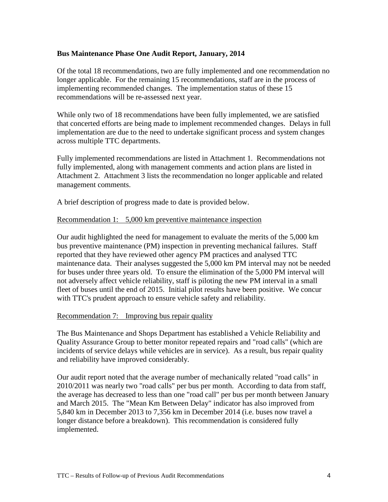### **Bus Maintenance Phase One Audit Report, January, 2014**

Of the total 18 recommendations, two are fully implemented and one recommendation no longer applicable. For the remaining 15 recommendations, staff are in the process of implementing recommended changes. The implementation status of these 15 recommendations will be re-assessed next year.

While only two of 18 recommendations have been fully implemented, we are satisfied that concerted efforts are being made to implement recommended changes. Delays in full implementation are due to the need to undertake significant process and system changes across multiple TTC departments.

Fully implemented recommendations are listed in Attachment 1. Recommendations not fully implemented, along with management comments and action plans are listed in Attachment 2. Attachment 3 lists the recommendation no longer applicable and related management comments.

A brief description of progress made to date is provided below.

#### Recommendation 1: 5,000 km preventive maintenance inspection

Our audit highlighted the need for management to evaluate the merits of the 5,000 km bus preventive maintenance (PM) inspection in preventing mechanical failures. Staff reported that they have reviewed other agency PM practices and analysed TTC maintenance data. Their analyses suggested the 5,000 km PM interval may not be needed for buses under three years old. To ensure the elimination of the 5,000 PM interval will not adversely affect vehicle reliability, staff is piloting the new PM interval in a small fleet of buses until the end of 2015. Initial pilot results have been positive. We concur with TTC's prudent approach to ensure vehicle safety and reliability.

#### Recommendation 7: Improving bus repair quality

The Bus Maintenance and Shops Department has established a Vehicle Reliability and Quality Assurance Group to better monitor repeated repairs and "road calls" (which are incidents of service delays while vehicles are in service). As a result, bus repair quality and reliability have improved considerably.

Our audit report noted that the average number of mechanically related "road calls" in 2010/2011 was nearly two "road calls" per bus per month. According to data from staff, the average has decreased to less than one "road call" per bus per month between January and March 2015. The "Mean Km Between Delay" indicator has also improved from 5,840 km in December 2013 to 7,356 km in December 2014 (i.e. buses now travel a longer distance before a breakdown). This recommendation is considered fully implemented.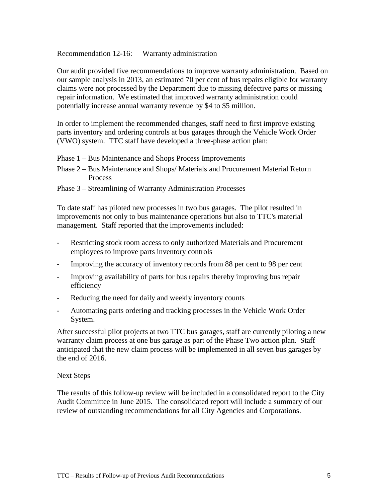Recommendation 12-16: Warranty administration

Our audit provided five recommendations to improve warranty administration. Based on our sample analysis in 2013, an estimated 70 per cent of bus repairs eligible for warranty claims were not processed by the Department due to missing defective parts or missing repair information. We estimated that improved warranty administration could potentially increase annual warranty revenue by \$4 to \$5 million.

In order to implement the recommended changes, staff need to first improve existing parts inventory and ordering controls at bus garages through the Vehicle Work Order (VWO) system. TTC staff have developed a three-phase action plan:

- Phase 1 Bus Maintenance and Shops Process Improvements
- Phase 2 Bus Maintenance and Shops/ Materials and Procurement Material Return Process
- Phase 3 Streamlining of Warranty Administration Processes

To date staff has piloted new processes in two bus garages. The pilot resulted in improvements not only to bus maintenance operations but also to TTC's material management. Staff reported that the improvements included:

- Restricting stock room access to only authorized Materials and Procurement employees to improve parts inventory controls
- Improving the accuracy of inventory records from 88 per cent to 98 per cent
- Improving availability of parts for bus repairs thereby improving bus repair efficiency
- Reducing the need for daily and weekly inventory counts
- Automating parts ordering and tracking processes in the Vehicle Work Order System.

After successful pilot projects at two TTC bus garages, staff are currently piloting a new warranty claim process at one bus garage as part of the Phase Two action plan. Staff anticipated that the new claim process will be implemented in all seven bus garages by the end of 2016.

#### Next Steps

The results of this follow-up review will be included in a consolidated report to the City Audit Committee in June 2015. The consolidated report will include a summary of our review of outstanding recommendations for all City Agencies and Corporations.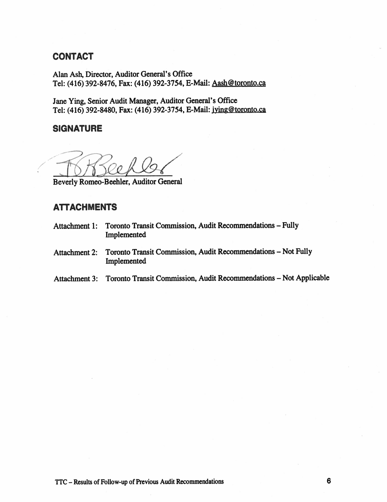### CONTACT

Alan Ash, Director, Auditor General's Office Tel: (416) 392-8476, Fax: (416) 392-3754, E-Mail: Aash@toronto.ca

Jane Ying, Senior Audit Manager, Auditor General's Office Tel: (416) 392-8480, Fax: (416) 392-3754, E-Mail: jying@toronto.ca

### **SIGNATURE**

/

Beverly Romeo-Beehler, Auditor General

# ATTACHMENTS

- Attachment 1: Toronto Transit Commission, Audit Recommendations Fully Implemented
- Attachment 2: Toronto Transit Commission, Audit Recommendations Not Fully Implemented
- Attachment 3: Toronto Transit Commission, Audit Recommendations Not Applicable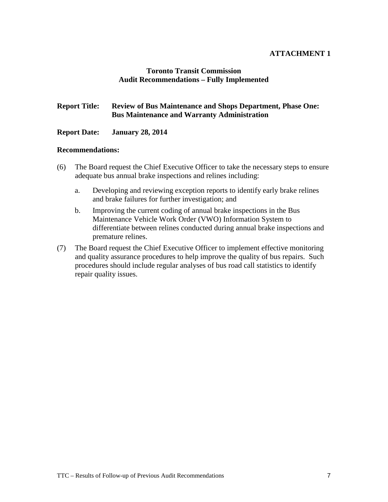### **ATTACHMENT 1**

#### **Toronto Transit Commission Audit Recommendations – Fully Implemented**

### **Report Title: Review of Bus Maintenance and Shops Department, Phase One: Bus Maintenance and Warranty Administration**

#### **Report Date: January 28, 2014**

#### **Recommendations:**

- (6) The Board request the Chief Executive Officer to take the necessary steps to ensure adequate bus annual brake inspections and relines including:
	- a. Developing and reviewing exception reports to identify early brake relines and brake failures for further investigation; and
	- b. Improving the current coding of annual brake inspections in the Bus Maintenance Vehicle Work Order (VWO) Information System to differentiate between relines conducted during annual brake inspections and premature relines.
- (7) The Board request the Chief Executive Officer to implement effective monitoring and quality assurance procedures to help improve the quality of bus repairs. Such procedures should include regular analyses of bus road call statistics to identify repair quality issues.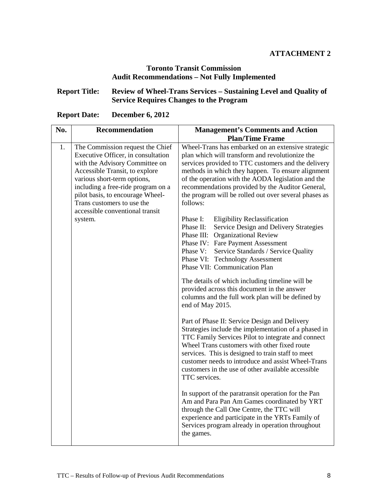### **ATTACHMENT 2**

### **Toronto Transit Commission Audit Recommendations – Not Fully Implemented**

### **Report Title: Review of Wheel-Trans Services – Sustaining Level and Quality of Service Requires Changes to the Program**

| <b>Report Date:</b> | <b>December 6, 2012</b> |  |
|---------------------|-------------------------|--|
|---------------------|-------------------------|--|

| No. | <b>Recommendation</b>                                                                                                                                                                                                                                                                                                | <b>Management's Comments and Action</b>                                                                                                                                                                                                                                                                                                                                                          |
|-----|----------------------------------------------------------------------------------------------------------------------------------------------------------------------------------------------------------------------------------------------------------------------------------------------------------------------|--------------------------------------------------------------------------------------------------------------------------------------------------------------------------------------------------------------------------------------------------------------------------------------------------------------------------------------------------------------------------------------------------|
|     |                                                                                                                                                                                                                                                                                                                      | <b>Plan/Time Frame</b>                                                                                                                                                                                                                                                                                                                                                                           |
| 1.  | The Commission request the Chief<br>Executive Officer, in consultation<br>with the Advisory Committee on<br>Accessible Transit, to explore<br>various short-term options,<br>including a free-ride program on a<br>pilot basis, to encourage Wheel-<br>Trans customers to use the<br>accessible conventional transit | Wheel-Trans has embarked on an extensive strategic<br>plan which will transform and revolutionize the<br>services provided to TTC customers and the delivery<br>methods in which they happen. To ensure alignment<br>of the operation with the AODA legislation and the<br>recommendations provided by the Auditor General,<br>the program will be rolled out over several phases as<br>follows: |
|     | system.                                                                                                                                                                                                                                                                                                              | Phase I:<br><b>Eligibility Reclassification</b><br>Phase II:<br>Service Design and Delivery Strategies<br>Phase III: Organizational Review<br>Phase IV: Fare Payment Assessment<br>Phase V: Service Standards / Service Quality<br>Phase VI: Technology Assessment<br>Phase VII: Communication Plan                                                                                              |
|     |                                                                                                                                                                                                                                                                                                                      | The details of which including timeline will be<br>provided across this document in the answer<br>columns and the full work plan will be defined by<br>end of May 2015.                                                                                                                                                                                                                          |
|     |                                                                                                                                                                                                                                                                                                                      | Part of Phase II: Service Design and Delivery<br>Strategies include the implementation of a phased in<br>TTC Family Services Pilot to integrate and connect<br>Wheel Trans customers with other fixed route<br>services. This is designed to train staff to meet<br>customer needs to introduce and assist Wheel-Trans<br>customers in the use of other available accessible<br>TTC services.    |
|     |                                                                                                                                                                                                                                                                                                                      | In support of the paratransit operation for the Pan<br>Am and Para Pan Am Games coordinated by YRT<br>through the Call One Centre, the TTC will<br>experience and participate in the YRTs Family of<br>Services program already in operation throughout<br>the games.                                                                                                                            |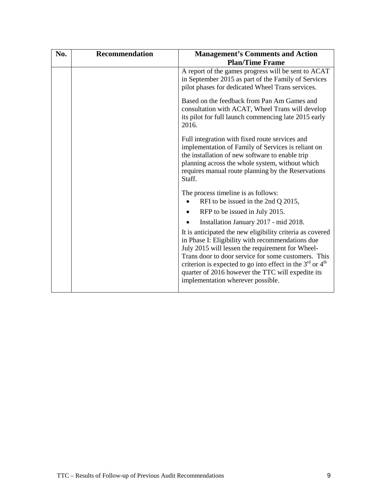| No. | <b>Recommendation</b> | <b>Management's Comments and Action</b><br><b>Plan/Time Frame</b>                                                                                                                                                                                                                                                                                                                   |
|-----|-----------------------|-------------------------------------------------------------------------------------------------------------------------------------------------------------------------------------------------------------------------------------------------------------------------------------------------------------------------------------------------------------------------------------|
|     |                       | A report of the games progress will be sent to ACAT<br>in September 2015 as part of the Family of Services<br>pilot phases for dedicated Wheel Trans services.                                                                                                                                                                                                                      |
|     |                       | Based on the feedback from Pan Am Games and<br>consultation with ACAT, Wheel Trans will develop<br>its pilot for full launch commencing late 2015 early<br>2016.                                                                                                                                                                                                                    |
|     |                       | Full integration with fixed route services and<br>implementation of Family of Services is reliant on<br>the installation of new software to enable trip<br>planning across the whole system, without which<br>requires manual route planning by the Reservations<br>Staff.                                                                                                          |
|     |                       | The process timeline is as follows:<br>RFI to be issued in the 2nd Q 2015,                                                                                                                                                                                                                                                                                                          |
|     |                       | RFP to be issued in July 2015.                                                                                                                                                                                                                                                                                                                                                      |
|     |                       | Installation January 2017 - mid 2018.                                                                                                                                                                                                                                                                                                                                               |
|     |                       | It is anticipated the new eligibility criteria as covered<br>in Phase I: Eligibility with recommendations due<br>July 2015 will lessen the requirement for Wheel-<br>Trans door to door service for some customers. This<br>criterion is expected to go into effect in the $3rd$ or $4th$<br>quarter of 2016 however the TTC will expedite its<br>implementation wherever possible. |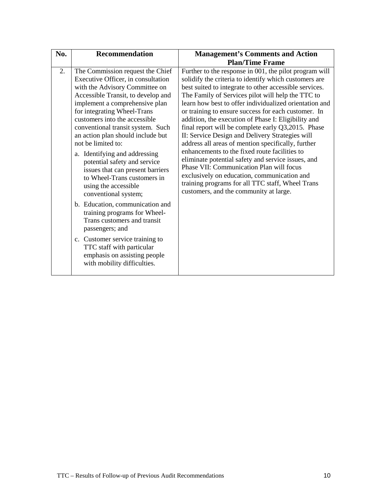| No. | <b>Recommendation</b>                                                                                                                                                                                                                                                                                                                                                                                                                                                                                                                                                                                                                                                                                                                                                                    | <b>Management's Comments and Action</b>                                                                                                                                                                                                                                                                                                                                                                                                                                                                                                                                                                                                                                                                                                                                                                                                                               |
|-----|------------------------------------------------------------------------------------------------------------------------------------------------------------------------------------------------------------------------------------------------------------------------------------------------------------------------------------------------------------------------------------------------------------------------------------------------------------------------------------------------------------------------------------------------------------------------------------------------------------------------------------------------------------------------------------------------------------------------------------------------------------------------------------------|-----------------------------------------------------------------------------------------------------------------------------------------------------------------------------------------------------------------------------------------------------------------------------------------------------------------------------------------------------------------------------------------------------------------------------------------------------------------------------------------------------------------------------------------------------------------------------------------------------------------------------------------------------------------------------------------------------------------------------------------------------------------------------------------------------------------------------------------------------------------------|
|     |                                                                                                                                                                                                                                                                                                                                                                                                                                                                                                                                                                                                                                                                                                                                                                                          | <b>Plan/Time Frame</b>                                                                                                                                                                                                                                                                                                                                                                                                                                                                                                                                                                                                                                                                                                                                                                                                                                                |
| 2.  | The Commission request the Chief<br>Executive Officer, in consultation<br>with the Advisory Committee on<br>Accessible Transit, to develop and<br>implement a comprehensive plan<br>for integrating Wheel-Trans<br>customers into the accessible<br>conventional transit system. Such<br>an action plan should include but<br>not be limited to:<br>a. Identifying and addressing<br>potential safety and service<br>issues that can present barriers<br>to Wheel-Trans customers in<br>using the accessible<br>conventional system;<br>b. Education, communication and<br>training programs for Wheel-<br>Trans customers and transit<br>passengers; and<br>c. Customer service training to<br>TTC staff with particular<br>emphasis on assisting people<br>with mobility difficulties. | Further to the response in 001, the pilot program will<br>solidify the criteria to identify which customers are<br>best suited to integrate to other accessible services.<br>The Family of Services pilot will help the TTC to<br>learn how best to offer individualized orientation and<br>or training to ensure success for each customer. In<br>addition, the execution of Phase I: Eligibility and<br>final report will be complete early Q3,2015. Phase<br>II: Service Design and Delivery Strategies will<br>address all areas of mention specifically, further<br>enhancements to the fixed route facilities to<br>eliminate potential safety and service issues, and<br>Phase VII: Communication Plan will focus<br>exclusively on education, communication and<br>training programs for all TTC staff, Wheel Trans<br>customers, and the community at large. |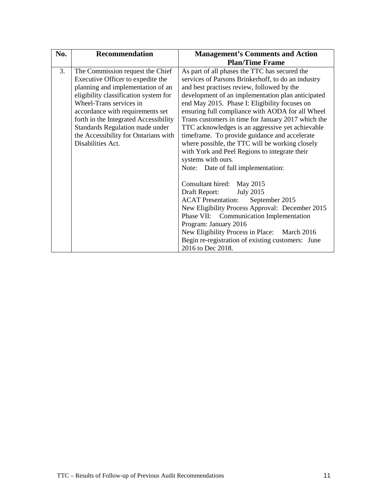| No. | <b>Recommendation</b>                 | <b>Management's Comments and Action</b>            |
|-----|---------------------------------------|----------------------------------------------------|
|     |                                       | <b>Plan/Time Frame</b>                             |
| 3.  | The Commission request the Chief      | As part of all phases the TTC has secured the      |
|     | Executive Officer to expedite the     | services of Parsons Brinkerhoff, to do an industry |
|     | planning and implementation of an     | and best practises review, followed by the         |
|     | eligibility classification system for | development of an implementation plan anticipated  |
|     | Wheel-Trans services in               | end May 2015. Phase I: Eligibility focuses on      |
|     | accordance with requirements set      | ensuring full compliance with AODA for all Wheel   |
|     | forth in the Integrated Accessibility | Trans customers in time for January 2017 which the |
|     | Standards Regulation made under       | TTC acknowledges is an aggressive yet achievable   |
|     | the Accessibility for Ontarians with  | timeframe. To provide guidance and accelerate      |
|     | Disabilities Act.                     | where possible, the TTC will be working closely    |
|     |                                       | with York and Peel Regions to integrate their      |
|     |                                       | systems with ours.                                 |
|     |                                       | Note: Date of full implementation:                 |
|     |                                       |                                                    |
|     |                                       | Consultant hired: May 2015                         |
|     |                                       | Draft Report:<br><b>July 2015</b>                  |
|     |                                       | <b>ACAT</b> Presentation:<br>September 2015        |
|     |                                       | New Eligibility Process Approval: December 2015    |
|     |                                       | Phase VII: Communication Implementation            |
|     |                                       | Program: January 2016                              |
|     |                                       | New Eligibility Process in Place: March 2016       |
|     |                                       | Begin re-registration of existing customers: June  |
|     |                                       | 2016 to Dec 2018.                                  |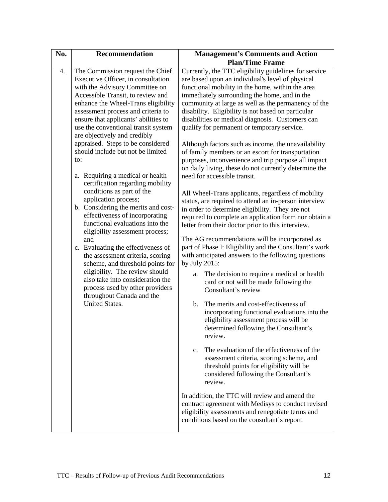| No. | <b>Recommendation</b>                                                                                                                                                                                                                                                                                                                                                                                                                                                                                                                                                                                                                                                                                                                                                                                                                                                                                                                                                               | <b>Management's Comments and Action</b>                                                                                                                                                                                                                                                                                                                                                                                                                                                                                                                                                                                                                                                                                                                                                                                                                                                                                                                                                                                                                                                                                                                                                                                                                                                                                                                                                                                                                                                                                                                                                                                                                                                                                                                                                                                                                                                                |
|-----|-------------------------------------------------------------------------------------------------------------------------------------------------------------------------------------------------------------------------------------------------------------------------------------------------------------------------------------------------------------------------------------------------------------------------------------------------------------------------------------------------------------------------------------------------------------------------------------------------------------------------------------------------------------------------------------------------------------------------------------------------------------------------------------------------------------------------------------------------------------------------------------------------------------------------------------------------------------------------------------|--------------------------------------------------------------------------------------------------------------------------------------------------------------------------------------------------------------------------------------------------------------------------------------------------------------------------------------------------------------------------------------------------------------------------------------------------------------------------------------------------------------------------------------------------------------------------------------------------------------------------------------------------------------------------------------------------------------------------------------------------------------------------------------------------------------------------------------------------------------------------------------------------------------------------------------------------------------------------------------------------------------------------------------------------------------------------------------------------------------------------------------------------------------------------------------------------------------------------------------------------------------------------------------------------------------------------------------------------------------------------------------------------------------------------------------------------------------------------------------------------------------------------------------------------------------------------------------------------------------------------------------------------------------------------------------------------------------------------------------------------------------------------------------------------------------------------------------------------------------------------------------------------------|
|     |                                                                                                                                                                                                                                                                                                                                                                                                                                                                                                                                                                                                                                                                                                                                                                                                                                                                                                                                                                                     | <b>Plan/Time Frame</b>                                                                                                                                                                                                                                                                                                                                                                                                                                                                                                                                                                                                                                                                                                                                                                                                                                                                                                                                                                                                                                                                                                                                                                                                                                                                                                                                                                                                                                                                                                                                                                                                                                                                                                                                                                                                                                                                                 |
| 4.  | The Commission request the Chief<br>Executive Officer, in consultation<br>with the Advisory Committee on<br>Accessible Transit, to review and<br>enhance the Wheel-Trans eligibility<br>assessment process and criteria to<br>ensure that applicants' abilities to<br>use the conventional transit system<br>are objectively and credibly<br>appraised. Steps to be considered<br>should include but not be limited<br>to:<br>a. Requiring a medical or health<br>certification regarding mobility<br>conditions as part of the<br>application process;<br>b. Considering the merits and cost-<br>effectiveness of incorporating<br>functional evaluations into the<br>eligibility assessment process;<br>and<br>c. Evaluating the effectiveness of<br>the assessment criteria, scoring<br>scheme, and threshold points for<br>eligibility. The review should<br>also take into consideration the<br>process used by other providers<br>throughout Canada and the<br>United States. | Currently, the TTC eligibility guidelines for service<br>are based upon an individual's level of physical<br>functional mobility in the home, within the area<br>immediately surrounding the home, and in the<br>community at large as well as the permanency of the<br>disability. Eligibility is not based on particular<br>disabilities or medical diagnosis. Customers can<br>qualify for permanent or temporary service.<br>Although factors such as income, the unavailability<br>of family members or an escort for transportation<br>purposes, inconvenience and trip purpose all impact<br>on daily living, these do not currently determine the<br>need for accessible transit.<br>All Wheel-Trans applicants, regardless of mobility<br>status, are required to attend an in-person interview<br>in order to determine eligibility. They are not<br>required to complete an application form nor obtain a<br>letter from their doctor prior to this interview.<br>The AG recommendations will be incorporated as<br>part of Phase I: Eligibility and the Consultant's work<br>with anticipated answers to the following questions<br>by July 2015:<br>The decision to require a medical or health<br>a.<br>card or not will be made following the<br>Consultant's review<br>The merits and cost-effectiveness of<br>b.<br>incorporating functional evaluations into the<br>eligibility assessment process will be<br>determined following the Consultant's<br>review.<br>The evaluation of the effectiveness of the<br>$c_{\cdot}$<br>assessment criteria, scoring scheme, and<br>threshold points for eligibility will be<br>considered following the Consultant's<br>review.<br>In addition, the TTC will review and amend the<br>contract agreement with Medisys to conduct revised<br>eligibility assessments and renegotiate terms and<br>conditions based on the consultant's report. |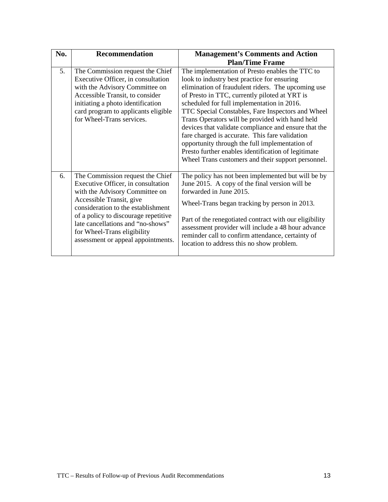| No. | <b>Recommendation</b>                                                                                                                                                                                                                                                                                                        | <b>Management's Comments and Action</b>                                                                                                                                                                                                                                                                                                                                                                                                                                                                                                                                                                                              |
|-----|------------------------------------------------------------------------------------------------------------------------------------------------------------------------------------------------------------------------------------------------------------------------------------------------------------------------------|--------------------------------------------------------------------------------------------------------------------------------------------------------------------------------------------------------------------------------------------------------------------------------------------------------------------------------------------------------------------------------------------------------------------------------------------------------------------------------------------------------------------------------------------------------------------------------------------------------------------------------------|
|     |                                                                                                                                                                                                                                                                                                                              | <b>Plan/Time Frame</b>                                                                                                                                                                                                                                                                                                                                                                                                                                                                                                                                                                                                               |
| 5.  | The Commission request the Chief<br>Executive Officer, in consultation<br>with the Advisory Committee on<br>Accessible Transit, to consider<br>initiating a photo identification<br>card program to applicants eligible<br>for Wheel-Trans services.                                                                         | The implementation of Presto enables the TTC to<br>look to industry best practice for ensuring<br>elimination of fraudulent riders. The upcoming use<br>of Presto in TTC, currently piloted at YRT is<br>scheduled for full implementation in 2016.<br>TTC Special Constables, Fare Inspectors and Wheel<br>Trans Operators will be provided with hand held<br>devices that validate compliance and ensure that the<br>fare charged is accurate. This fare validation<br>opportunity through the full implementation of<br>Presto further enables identification of legitimate<br>Wheel Trans customers and their support personnel. |
| 6.  | The Commission request the Chief<br>Executive Officer, in consultation<br>with the Advisory Committee on<br>Accessible Transit, give<br>consideration to the establishment<br>of a policy to discourage repetitive<br>late cancellations and "no-shows"<br>for Wheel-Trans eligibility<br>assessment or appeal appointments. | The policy has not been implemented but will be by<br>June 2015. A copy of the final version will be<br>forwarded in June 2015.<br>Wheel-Trans began tracking by person in 2013.<br>Part of the renegotiated contract with our eligibility<br>assessment provider will include a 48 hour advance<br>reminder call to confirm attendance, certainty of<br>location to address this no show problem.                                                                                                                                                                                                                                   |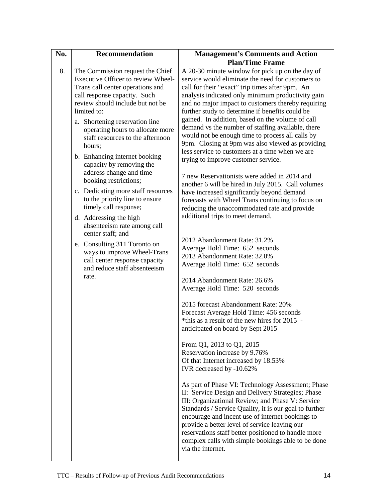| No. | <b>Recommendation</b>                                                                                                                                                                                                                                                                                                                                                                                                                                                                                                                                                                                                                                                                                                                                      | <b>Management's Comments and Action</b>                                                                                                                                                                                                                                                                                                                                                                                                                                                                                                                                                                                                                                                                                                                                                                                                                                                                                                                                                                                                                                                                                                                                                                                                                                                                                                                                                                                                                                                                                                                                                                                                                                                                                                                                                                                                                                                                      |
|-----|------------------------------------------------------------------------------------------------------------------------------------------------------------------------------------------------------------------------------------------------------------------------------------------------------------------------------------------------------------------------------------------------------------------------------------------------------------------------------------------------------------------------------------------------------------------------------------------------------------------------------------------------------------------------------------------------------------------------------------------------------------|--------------------------------------------------------------------------------------------------------------------------------------------------------------------------------------------------------------------------------------------------------------------------------------------------------------------------------------------------------------------------------------------------------------------------------------------------------------------------------------------------------------------------------------------------------------------------------------------------------------------------------------------------------------------------------------------------------------------------------------------------------------------------------------------------------------------------------------------------------------------------------------------------------------------------------------------------------------------------------------------------------------------------------------------------------------------------------------------------------------------------------------------------------------------------------------------------------------------------------------------------------------------------------------------------------------------------------------------------------------------------------------------------------------------------------------------------------------------------------------------------------------------------------------------------------------------------------------------------------------------------------------------------------------------------------------------------------------------------------------------------------------------------------------------------------------------------------------------------------------------------------------------------------------|
|     |                                                                                                                                                                                                                                                                                                                                                                                                                                                                                                                                                                                                                                                                                                                                                            | <b>Plan/Time Frame</b>                                                                                                                                                                                                                                                                                                                                                                                                                                                                                                                                                                                                                                                                                                                                                                                                                                                                                                                                                                                                                                                                                                                                                                                                                                                                                                                                                                                                                                                                                                                                                                                                                                                                                                                                                                                                                                                                                       |
| 8.  | The Commission request the Chief<br>Executive Officer to review Wheel-<br>Trans call center operations and<br>call response capacity. Such<br>review should include but not be<br>limited to:<br>a. Shortening reservation line<br>operating hours to allocate more<br>staff resources to the afternoon<br>hours;<br>b. Enhancing internet booking<br>capacity by removing the<br>address change and time<br>booking restrictions;<br>c. Dedicating more staff resources<br>to the priority line to ensure<br>timely call response;<br>d. Addressing the high<br>absenteeism rate among call<br>center staff; and<br>e. Consulting 311 Toronto on<br>ways to improve Wheel-Trans<br>call center response capacity<br>and reduce staff absenteeism<br>rate. | A 20-30 minute window for pick up on the day of<br>service would eliminate the need for customers to<br>call for their "exact" trip times after 9pm. An<br>analysis indicated only minimum productivity gain<br>and no major impact to customers thereby requiring<br>further study to determine if benefits could be<br>gained. In addition, based on the volume of call<br>demand vs the number of staffing available, there<br>would not be enough time to process all calls by<br>9pm. Closing at 9pm was also viewed as providing<br>less service to customers at a time when we are<br>trying to improve customer service.<br>7 new Reservationists were added in 2014 and<br>another 6 will be hired in July 2015. Call volumes<br>have increased significantly beyond demand<br>forecasts with Wheel Trans continuing to focus on<br>reducing the unaccommodated rate and provide<br>additional trips to meet demand.<br>2012 Abandonment Rate: 31.2%<br>Average Hold Time: 652 seconds<br>2013 Abandonment Rate: 32.0%<br>Average Hold Time: 652 seconds<br>2014 Abandonment Rate: 26.6%<br>Average Hold Time: 520 seconds<br>2015 forecast Abandonment Rate: 20%<br>Forecast Average Hold Time: 456 seconds<br>*this as a result of the new hires for 2015 -<br>anticipated on board by Sept 2015<br>From Q1, 2013 to Q1, 2015<br>Reservation increase by 9.76%<br>Of that Internet increased by 18.53%<br>IVR decreased by -10.62%<br>As part of Phase VI: Technology Assessment; Phase<br>II: Service Design and Delivery Strategies; Phase<br>III: Organizational Review; and Phase V: Service<br>Standards / Service Quality, it is our goal to further<br>encourage and incent use of internet bookings to<br>provide a better level of service leaving our<br>reservations staff better positioned to handle more<br>complex calls with simple bookings able to be done<br>via the internet. |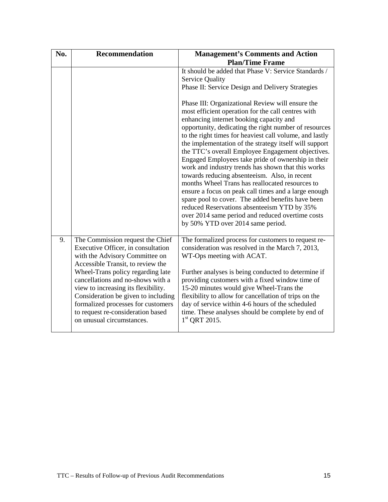| No. | <b>Recommendation</b>                                                                                                                                                                                                                                                                                                                                                                                         | <b>Management's Comments and Action</b><br><b>Plan/Time Frame</b>                                                                                                                                                                                                                                                                                                                                                                                                                                                                                                                                                                                                                                                                                                                                                                                                                                                                                                                               |
|-----|---------------------------------------------------------------------------------------------------------------------------------------------------------------------------------------------------------------------------------------------------------------------------------------------------------------------------------------------------------------------------------------------------------------|-------------------------------------------------------------------------------------------------------------------------------------------------------------------------------------------------------------------------------------------------------------------------------------------------------------------------------------------------------------------------------------------------------------------------------------------------------------------------------------------------------------------------------------------------------------------------------------------------------------------------------------------------------------------------------------------------------------------------------------------------------------------------------------------------------------------------------------------------------------------------------------------------------------------------------------------------------------------------------------------------|
|     |                                                                                                                                                                                                                                                                                                                                                                                                               | It should be added that Phase V: Service Standards /<br><b>Service Quality</b><br>Phase II: Service Design and Delivery Strategies<br>Phase III: Organizational Review will ensure the<br>most efficient operation for the call centres with<br>enhancing internet booking capacity and<br>opportunity, dedicating the right number of resources<br>to the right times for heaviest call volume, and lastly<br>the implementation of the strategy itself will support<br>the TTC's overall Employee Engagement objectives.<br>Engaged Employees take pride of ownership in their<br>work and industry trends has shown that this works<br>towards reducing absenteeism. Also, in recent<br>months Wheel Trans has reallocated resources to<br>ensure a focus on peak call times and a large enough<br>spare pool to cover. The added benefits have been<br>reduced Reservations absenteeism YTD by 35%<br>over 2014 same period and reduced overtime costs<br>by 50% YTD over 2014 same period. |
| 9.  | The Commission request the Chief<br>Executive Officer, in consultation<br>with the Advisory Committee on<br>Accessible Transit, to review the<br>Wheel-Trans policy regarding late<br>cancellations and no-shows with a<br>view to increasing its flexibility.<br>Consideration be given to including<br>formalized processes for customers<br>to request re-consideration based<br>on unusual circumstances. | The formalized process for customers to request re-<br>consideration was resolved in the March 7, 2013,<br>WT-Ops meeting with ACAT.<br>Further analyses is being conducted to determine if<br>providing customers with a fixed window time of<br>15-20 minutes would give Wheel-Trans the<br>flexibility to allow for cancellation of trips on the<br>day of service within 4-6 hours of the scheduled<br>time. These analyses should be complete by end of<br>$1st$ QRT 2015.                                                                                                                                                                                                                                                                                                                                                                                                                                                                                                                 |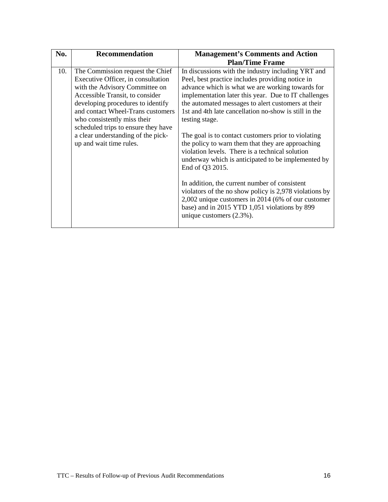| No. | <b>Recommendation</b>                                                                                                                                                                                                                                                                                                                                        | <b>Management's Comments and Action</b>                                                                                                                                                                                                                                                                                                                                                                                                                                                                                                                                                                                                                                                                                                                                                                                                       |
|-----|--------------------------------------------------------------------------------------------------------------------------------------------------------------------------------------------------------------------------------------------------------------------------------------------------------------------------------------------------------------|-----------------------------------------------------------------------------------------------------------------------------------------------------------------------------------------------------------------------------------------------------------------------------------------------------------------------------------------------------------------------------------------------------------------------------------------------------------------------------------------------------------------------------------------------------------------------------------------------------------------------------------------------------------------------------------------------------------------------------------------------------------------------------------------------------------------------------------------------|
|     |                                                                                                                                                                                                                                                                                                                                                              | <b>Plan/Time Frame</b>                                                                                                                                                                                                                                                                                                                                                                                                                                                                                                                                                                                                                                                                                                                                                                                                                        |
| 10. | The Commission request the Chief<br>Executive Officer, in consultation<br>with the Advisory Committee on<br>Accessible Transit, to consider<br>developing procedures to identify<br>and contact Wheel-Trans customers<br>who consistently miss their<br>scheduled trips to ensure they have<br>a clear understanding of the pick-<br>up and wait time rules. | In discussions with the industry including YRT and<br>Peel, best practice includes providing notice in<br>advance which is what we are working towards for<br>implementation later this year. Due to IT challenges<br>the automated messages to alert customers at their<br>1st and 4th late cancellation no-show is still in the<br>testing stage.<br>The goal is to contact customers prior to violating<br>the policy to warn them that they are approaching<br>violation levels. There is a technical solution<br>underway which is anticipated to be implemented by<br>End of Q3 2015.<br>In addition, the current number of consistent<br>violators of the no show policy is 2,978 violations by<br>2,002 unique customers in 2014 (6% of our customer<br>base) and in 2015 YTD 1,051 violations by 899<br>unique customers $(2.3\%)$ . |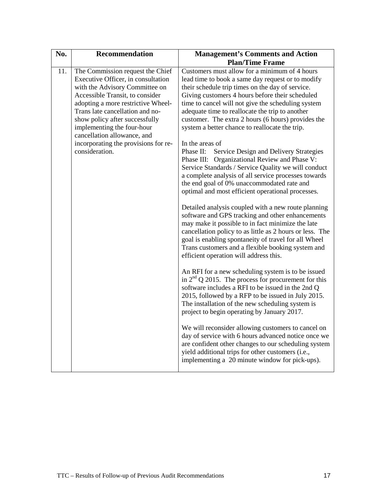| No. | <b>Recommendation</b>                                                                                                                                                                                                                                                                | <b>Management's Comments and Action</b>                                                                                                                                                                                                                                                                                                                                                                                    |
|-----|--------------------------------------------------------------------------------------------------------------------------------------------------------------------------------------------------------------------------------------------------------------------------------------|----------------------------------------------------------------------------------------------------------------------------------------------------------------------------------------------------------------------------------------------------------------------------------------------------------------------------------------------------------------------------------------------------------------------------|
|     |                                                                                                                                                                                                                                                                                      | <b>Plan/Time Frame</b>                                                                                                                                                                                                                                                                                                                                                                                                     |
| 11. | The Commission request the Chief<br>Executive Officer, in consultation<br>with the Advisory Committee on<br>Accessible Transit, to consider<br>adopting a more restrictive Wheel-<br>Trans late cancellation and no-<br>show policy after successfully<br>implementing the four-hour | Customers must allow for a minimum of 4 hours<br>lead time to book a same day request or to modify<br>their schedule trip times on the day of service.<br>Giving customers 4 hours before their scheduled<br>time to cancel will not give the scheduling system<br>adequate time to reallocate the trip to another<br>customer. The extra 2 hours (6 hours) provides the<br>system a better chance to reallocate the trip. |
|     | cancellation allowance, and<br>incorporating the provisions for re-<br>consideration.                                                                                                                                                                                                | In the areas of<br>Phase II:<br>Service Design and Delivery Strategies<br>Phase III: Organizational Review and Phase V:<br>Service Standards / Service Quality we will conduct<br>a complete analysis of all service processes towards<br>the end goal of 0% unaccommodated rate and<br>optimal and most efficient operational processes.                                                                                  |
|     |                                                                                                                                                                                                                                                                                      | Detailed analysis coupled with a new route planning<br>software and GPS tracking and other enhancements<br>may make it possible to in fact minimize the late<br>cancellation policy to as little as 2 hours or less. The<br>goal is enabling spontaneity of travel for all Wheel<br>Trans customers and a flexible booking system and<br>efficient operation will address this.                                            |
|     |                                                                                                                                                                                                                                                                                      | An RFI for a new scheduling system is to be issued<br>in $2nd$ Q 2015. The process for procurement for this<br>software includes a RFI to be issued in the 2nd Q<br>2015, followed by a RFP to be issued in July 2015.<br>The installation of the new scheduling system is<br>project to begin operating by January 2017.                                                                                                  |
|     |                                                                                                                                                                                                                                                                                      | We will reconsider allowing customers to cancel on<br>day of service with 6 hours advanced notice once we<br>are confident other changes to our scheduling system<br>yield additional trips for other customers (i.e.,<br>implementing a 20 minute window for pick-ups).                                                                                                                                                   |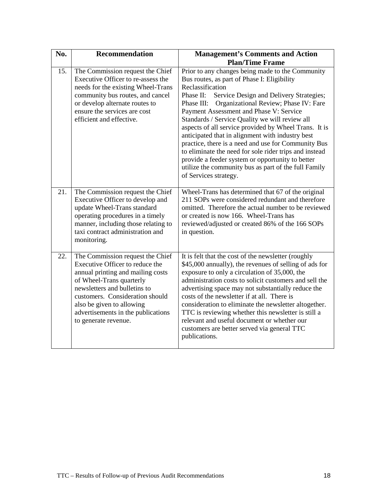| No. | <b>Recommendation</b>                                                                                                                                                                                                                                                                              | <b>Management's Comments and Action</b>                                                                                                                                                                                                                                                                                                                                                                                                                                                                                                                                                                                                                                                         |
|-----|----------------------------------------------------------------------------------------------------------------------------------------------------------------------------------------------------------------------------------------------------------------------------------------------------|-------------------------------------------------------------------------------------------------------------------------------------------------------------------------------------------------------------------------------------------------------------------------------------------------------------------------------------------------------------------------------------------------------------------------------------------------------------------------------------------------------------------------------------------------------------------------------------------------------------------------------------------------------------------------------------------------|
|     |                                                                                                                                                                                                                                                                                                    | <b>Plan/Time Frame</b>                                                                                                                                                                                                                                                                                                                                                                                                                                                                                                                                                                                                                                                                          |
| 15. | The Commission request the Chief<br>Executive Officer to re-assess the<br>needs for the existing Wheel-Trans<br>community bus routes, and cancel<br>or develop alternate routes to<br>ensure the services are cost<br>efficient and effective.                                                     | Prior to any changes being made to the Community<br>Bus routes, as part of Phase I: Eligibility<br>Reclassification<br>Phase II:<br>Service Design and Delivery Strategies;<br>Phase III: Organizational Review; Phase IV: Fare<br>Payment Assessment and Phase V: Service<br>Standards / Service Quality we will review all<br>aspects of all service provided by Wheel Trans. It is<br>anticipated that in alignment with industry best<br>practice, there is a need and use for Community Bus<br>to eliminate the need for sole rider trips and instead<br>provide a feeder system or opportunity to better<br>utilize the community bus as part of the full Family<br>of Services strategy. |
| 21. | The Commission request the Chief<br>Executive Officer to develop and<br>update Wheel-Trans standard<br>operating procedures in a timely<br>manner, including those relating to<br>taxi contract administration and<br>monitoring.                                                                  | Wheel-Trans has determined that 67 of the original<br>211 SOPs were considered redundant and therefore<br>omitted. Therefore the actual number to be reviewed<br>or created is now 166. Wheel-Trans has<br>reviewed/adjusted or created 86% of the 166 SOPs<br>in question.                                                                                                                                                                                                                                                                                                                                                                                                                     |
| 22. | The Commission request the Chief<br>Executive Officer to reduce the<br>annual printing and mailing costs<br>of Wheel-Trans quarterly<br>newsletters and bulletins to<br>customers. Consideration should<br>also be given to allowing<br>advertisements in the publications<br>to generate revenue. | It is felt that the cost of the newsletter (roughly<br>\$45,000 annually), the revenues of selling of ads for<br>exposure to only a circulation of 35,000, the<br>administration costs to solicit customers and sell the<br>advertising space may not substantially reduce the<br>costs of the newsletter if at all. There is<br>consideration to eliminate the newsletter altogether.<br>TTC is reviewing whether this newsletter is still a<br>relevant and useful document or whether our<br>customers are better served via general TTC<br>publications.                                                                                                                                    |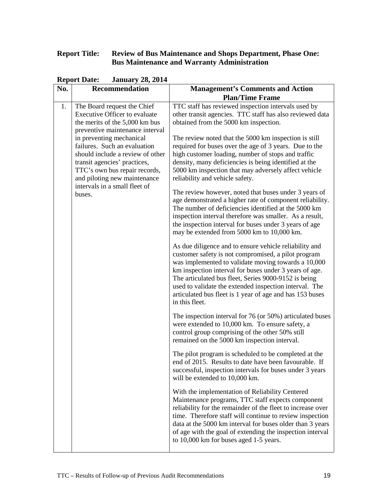### **Report Title: Review of Bus Maintenance and Shops Department, Phase One: Bus Maintenance and Warranty Administration**

| No. | Keport Date.<br>$0$ anuary 20, 2017<br>Recommendation                                                                                                                                                                                    | <b>Management's Comments and Action</b>                                                                                                                                                                                                                                                                                                                                                                                        |
|-----|------------------------------------------------------------------------------------------------------------------------------------------------------------------------------------------------------------------------------------------|--------------------------------------------------------------------------------------------------------------------------------------------------------------------------------------------------------------------------------------------------------------------------------------------------------------------------------------------------------------------------------------------------------------------------------|
|     |                                                                                                                                                                                                                                          | <b>Plan/Time Frame</b>                                                                                                                                                                                                                                                                                                                                                                                                         |
| 1.  | The Board request the Chief<br><b>Executive Officer to evaluate</b><br>the merits of the 5,000 km bus<br>preventive maintenance interval                                                                                                 | TTC staff has reviewed inspection intervals used by<br>other transit agencies. TTC staff has also reviewed data<br>obtained from the 5000 km inspection.                                                                                                                                                                                                                                                                       |
|     | in preventing mechanical<br>failures. Such an evaluation<br>should include a review of other<br>transit agencies' practices,<br>TTC's own bus repair records,<br>and piloting new maintenance<br>intervals in a small fleet of<br>buses. | The review noted that the 5000 km inspection is still<br>required for buses over the age of 3 years. Due to the<br>high customer loading, number of stops and traffic<br>density, many deficiencies is being identified at the<br>5000 km inspection that may adversely affect vehicle<br>reliability and vehicle safety.                                                                                                      |
|     |                                                                                                                                                                                                                                          | The review however, noted that buses under 3 years of<br>age demonstrated a higher rate of component reliability.<br>The number of deficiencies identified at the 5000 km<br>inspection interval therefore was smaller. As a result,<br>the inspection interval for buses under 3 years of age<br>may be extended from 5000 km to 10,000 km.                                                                                   |
|     |                                                                                                                                                                                                                                          | As due diligence and to ensure vehicle reliability and<br>customer safety is not compromised, a pilot program<br>was implemented to validate moving towards a 10,000<br>km inspection interval for buses under 3 years of age.<br>The articulated bus fleet, Series 9000-9152 is being<br>used to validate the extended inspection interval. The<br>articulated bus fleet is 1 year of age and has 153 buses<br>in this fleet. |
|     |                                                                                                                                                                                                                                          | The inspection interval for 76 (or 50%) articulated buses<br>were extended to 10,000 km. To ensure safety, a<br>control group comprising of the other 50% still<br>remained on the 5000 km inspection interval.                                                                                                                                                                                                                |
|     |                                                                                                                                                                                                                                          | The pilot program is scheduled to be completed at the<br>end of 2015. Results to date have been favourable. If<br>successful, inspection intervals for buses under 3 years<br>will be extended to 10,000 km.                                                                                                                                                                                                                   |
|     |                                                                                                                                                                                                                                          | With the implementation of Reliability Centered<br>Maintenance programs, TTC staff expects component<br>reliability for the remainder of the fleet to increase over<br>time. Therefore staff will continue to review inspection<br>data at the 5000 km interval for buses older than 3 years<br>of age with the goal of extending the inspection interval<br>to 10,000 km for buses aged 1-5 years.                            |

**Report Date: January 28, 2014**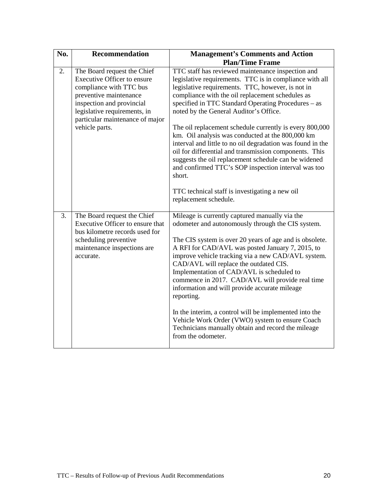| No. | Recommendation                                                                                                                                                                                                                    | <b>Management's Comments and Action</b>                                                                                                                                                                                                                                                                                                                                                                                                                                                                                                                                                                                                                                                |
|-----|-----------------------------------------------------------------------------------------------------------------------------------------------------------------------------------------------------------------------------------|----------------------------------------------------------------------------------------------------------------------------------------------------------------------------------------------------------------------------------------------------------------------------------------------------------------------------------------------------------------------------------------------------------------------------------------------------------------------------------------------------------------------------------------------------------------------------------------------------------------------------------------------------------------------------------------|
|     |                                                                                                                                                                                                                                   | <b>Plan/Time Frame</b>                                                                                                                                                                                                                                                                                                                                                                                                                                                                                                                                                                                                                                                                 |
| 2.  | The Board request the Chief<br>Executive Officer to ensure<br>compliance with TTC bus<br>preventive maintenance<br>inspection and provincial<br>legislative requirements, in<br>particular maintenance of major<br>vehicle parts. | TTC staff has reviewed maintenance inspection and<br>legislative requirements. TTC is in compliance with all<br>legislative requirements. TTC, however, is not in<br>compliance with the oil replacement schedules as<br>specified in TTC Standard Operating Procedures - as<br>noted by the General Auditor's Office.<br>The oil replacement schedule currently is every 800,000<br>km. Oil analysis was conducted at the 800,000 km<br>interval and little to no oil degradation was found in the<br>oil for differential and transmission components. This<br>suggests the oil replacement schedule can be widened<br>and confirmed TTC's SOP inspection interval was too<br>short. |
|     |                                                                                                                                                                                                                                   | TTC technical staff is investigating a new oil<br>replacement schedule.                                                                                                                                                                                                                                                                                                                                                                                                                                                                                                                                                                                                                |
| 3.  | The Board request the Chief<br>Executive Officer to ensure that<br>bus kilometre records used for<br>scheduling preventive<br>maintenance inspections are<br>accurate.                                                            | Mileage is currently captured manually via the<br>odometer and autonomously through the CIS system.<br>The CIS system is over 20 years of age and is obsolete.<br>A RFI for CAD/AVL was posted January 7, 2015, to<br>improve vehicle tracking via a new CAD/AVL system.<br>CAD/AVL will replace the outdated CIS.<br>Implementation of CAD/AVL is scheduled to<br>commence in 2017. CAD/AVL will provide real time<br>information and will provide accurate mileage<br>reporting.<br>In the interim, a control will be implemented into the<br>Vehicle Work Order (VWO) system to ensure Coach<br>Technicians manually obtain and record the mileage<br>from the odometer.            |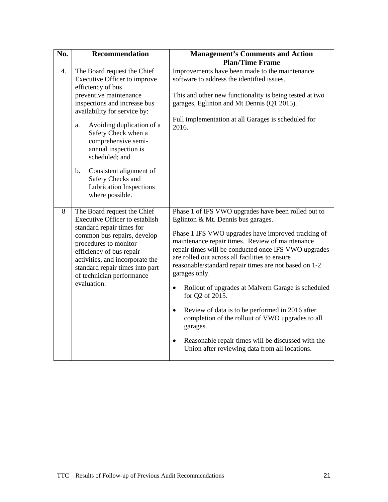| No. | <b>Recommendation</b>                                                                                                                                                                                                                                                                                 | <b>Management's Comments and Action</b><br><b>Plan/Time Frame</b>                                                                                                                                                                                                                                                                                                                      |
|-----|-------------------------------------------------------------------------------------------------------------------------------------------------------------------------------------------------------------------------------------------------------------------------------------------------------|----------------------------------------------------------------------------------------------------------------------------------------------------------------------------------------------------------------------------------------------------------------------------------------------------------------------------------------------------------------------------------------|
| 4.  | The Board request the Chief<br>Executive Officer to improve<br>efficiency of bus<br>preventive maintenance<br>inspections and increase bus<br>availability for service by:<br>Avoiding duplication of a<br>a.<br>Safety Check when a<br>comprehensive semi-<br>annual inspection is<br>scheduled; and | Improvements have been made to the maintenance<br>software to address the identified issues.<br>This and other new functionality is being tested at two<br>garages, Eglinton and Mt Dennis (Q1 2015).<br>Full implementation at all Garages is scheduled for<br>2016.                                                                                                                  |
|     | Consistent alignment of<br>$\mathbf b$ .<br>Safety Checks and<br><b>Lubrication Inspections</b><br>where possible.                                                                                                                                                                                    |                                                                                                                                                                                                                                                                                                                                                                                        |
| 8   | The Board request the Chief<br><b>Executive Officer to establish</b><br>standard repair times for<br>common bus repairs, develop<br>procedures to monitor<br>efficiency of bus repair<br>activities, and incorporate the<br>standard repair times into part<br>of technician performance              | Phase 1 of IFS VWO upgrades have been rolled out to<br>Eglinton & Mt. Dennis bus garages.<br>Phase 1 IFS VWO upgrades have improved tracking of<br>maintenance repair times. Review of maintenance<br>repair times will be conducted once IFS VWO upgrades<br>are rolled out across all facilities to ensure<br>reasonable/standard repair times are not based on 1-2<br>garages only. |
|     | evaluation.                                                                                                                                                                                                                                                                                           | Rollout of upgrades at Malvern Garage is scheduled<br>$\bullet$<br>for Q2 of 2015.<br>Review of data is to be performed in 2016 after<br>$\bullet$<br>completion of the rollout of VWO upgrades to all                                                                                                                                                                                 |
|     |                                                                                                                                                                                                                                                                                                       | garages.<br>Reasonable repair times will be discussed with the<br>$\bullet$<br>Union after reviewing data from all locations.                                                                                                                                                                                                                                                          |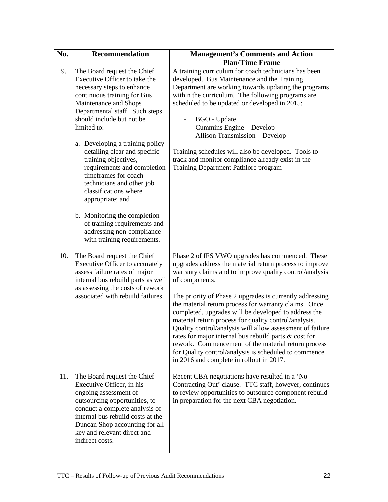| No. | <b>Recommendation</b>                                                                                                                                                                                                                                                                                                                                                                                                                                                                                                                                                                    | <b>Management's Comments and Action</b>                                                                                                                                                                                                                                                                                                                                                                                                                                                                                                                                                                                                                                                                          |
|-----|------------------------------------------------------------------------------------------------------------------------------------------------------------------------------------------------------------------------------------------------------------------------------------------------------------------------------------------------------------------------------------------------------------------------------------------------------------------------------------------------------------------------------------------------------------------------------------------|------------------------------------------------------------------------------------------------------------------------------------------------------------------------------------------------------------------------------------------------------------------------------------------------------------------------------------------------------------------------------------------------------------------------------------------------------------------------------------------------------------------------------------------------------------------------------------------------------------------------------------------------------------------------------------------------------------------|
|     |                                                                                                                                                                                                                                                                                                                                                                                                                                                                                                                                                                                          | <b>Plan/Time Frame</b>                                                                                                                                                                                                                                                                                                                                                                                                                                                                                                                                                                                                                                                                                           |
| 9.  | The Board request the Chief<br>Executive Officer to take the<br>necessary steps to enhance<br>continuous training for Bus<br>Maintenance and Shops<br>Departmental staff. Such steps<br>should include but not be<br>limited to:<br>a. Developing a training policy<br>detailing clear and specific<br>training objectives,<br>requirements and completion<br>timeframes for coach<br>technicians and other job<br>classifications where<br>appropriate; and<br>b. Monitoring the completion<br>of training requirements and<br>addressing non-compliance<br>with training requirements. | A training curriculum for coach technicians has been<br>developed. Bus Maintenance and the Training<br>Department are working towards updating the programs<br>within the curriculum. The following programs are<br>scheduled to be updated or developed in 2015:<br><b>BGO</b> - Update<br>Cummins Engine - Develop<br>Allison Transmission - Develop<br>Training schedules will also be developed. Tools to<br>track and monitor compliance already exist in the<br>Training Department Pathlore program                                                                                                                                                                                                       |
| 10. | The Board request the Chief<br>Executive Officer to accurately<br>assess failure rates of major<br>internal bus rebuild parts as well<br>as assessing the costs of rework<br>associated with rebuild failures.                                                                                                                                                                                                                                                                                                                                                                           | Phase 2 of IFS VWO upgrades has commenced. These<br>upgrades address the material return process to improve<br>warranty claims and to improve quality control/analysis<br>of components.<br>The priority of Phase 2 upgrades is currently addressing<br>the material return process for warranty claims. Once<br>completed, upgrades will be developed to address the<br>material return process for quality control/analysis.<br>Quality control/analysis will allow assessment of failure<br>rates for major internal bus rebuild parts & cost for<br>rework. Commencement of the material return process<br>for Quality control/analysis is scheduled to commence<br>in 2016 and complete in rollout in 2017. |
| 11. | The Board request the Chief<br>Executive Officer, in his<br>ongoing assessment of<br>outsourcing opportunities, to<br>conduct a complete analysis of<br>internal bus rebuild costs at the<br>Duncan Shop accounting for all<br>key and relevant direct and<br>indirect costs.                                                                                                                                                                                                                                                                                                            | Recent CBA negotiations have resulted in a 'No<br>Contracting Out' clause. TTC staff, however, continues<br>to review opportunities to outsource component rebuild<br>in preparation for the next CBA negotiation.                                                                                                                                                                                                                                                                                                                                                                                                                                                                                               |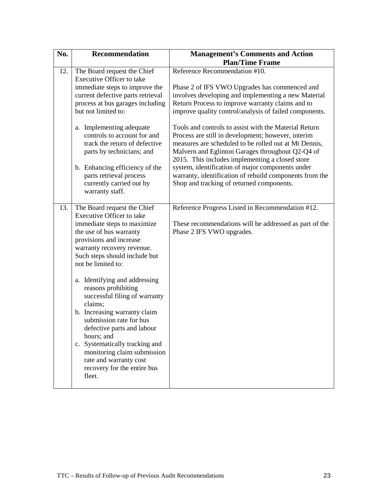| No. | Recommendation                                                                                                                                                                                                                                                                                                                                                                                                                                                                                                                                                                           | <b>Management's Comments and Action</b>                                                                                                                                                                                                                                                                                                                                                                                                                                                           |
|-----|------------------------------------------------------------------------------------------------------------------------------------------------------------------------------------------------------------------------------------------------------------------------------------------------------------------------------------------------------------------------------------------------------------------------------------------------------------------------------------------------------------------------------------------------------------------------------------------|---------------------------------------------------------------------------------------------------------------------------------------------------------------------------------------------------------------------------------------------------------------------------------------------------------------------------------------------------------------------------------------------------------------------------------------------------------------------------------------------------|
|     |                                                                                                                                                                                                                                                                                                                                                                                                                                                                                                                                                                                          | <b>Plan/Time Frame</b>                                                                                                                                                                                                                                                                                                                                                                                                                                                                            |
| 12. | The Board request the Chief<br><b>Executive Officer to take</b><br>immediate steps to improve the<br>current defective parts retrieval<br>process at bus garages including                                                                                                                                                                                                                                                                                                                                                                                                               | Reference Recommendation #10.<br>Phase 2 of IFS VWO Upgrades has commenced and<br>involves developing and implementing a new Material<br>Return Process to improve warranty claims and to                                                                                                                                                                                                                                                                                                         |
|     | but not limited to:<br>a. Implementing adequate<br>controls to account for and<br>track the return of defective<br>parts by technicians; and<br>b. Enhancing efficiency of the<br>parts retrieval process<br>currently carried out by<br>warranty staff.                                                                                                                                                                                                                                                                                                                                 | improve quality control/analysis of failed components.<br>Tools and controls to assist with the Material Return<br>Process are still in development; however, interim<br>measures are scheduled to be rolled out at Mt Dennis,<br>Malvern and Eglinton Garages throughout Q2-Q4 of<br>2015. This includes implementing a closed store<br>system, identification of major components under<br>warranty, identification of rebuild components from the<br>Shop and tracking of returned components. |
| 13. | The Board request the Chief<br><b>Executive Officer to take</b><br>immediate steps to maximize<br>the use of bus warranty<br>provisions and increase<br>warranty recovery revenue.<br>Such steps should include but<br>not be limited to:<br>a. Identifying and addressing<br>reasons prohibiting<br>successful filing of warranty<br>claims;<br>b. Increasing warranty claim<br>submission rate for bus<br>defective parts and labour<br>hours; and<br>c. Systematically tracking and<br>monitoring claim submission<br>rate and warranty cost<br>recovery for the entire bus<br>fleet. | Reference Progress Listed in Recommendation #12.<br>These recommendations will be addressed as part of the<br>Phase 2 IFS VWO upgrades.                                                                                                                                                                                                                                                                                                                                                           |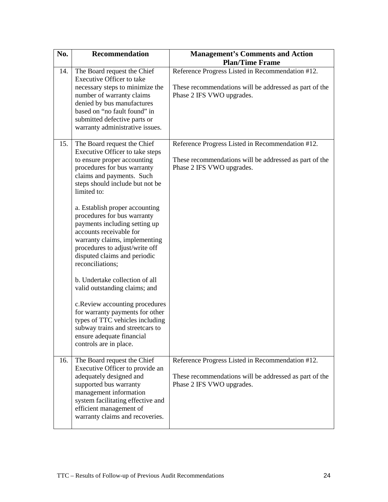| No. | <b>Recommendation</b>                                                                                                                                                                                                                                                                                                                                                                                                                                                                                                                                                                                                                                                                                                                | <b>Management's Comments and Action</b><br><b>Plan/Time Frame</b>                                                                       |
|-----|--------------------------------------------------------------------------------------------------------------------------------------------------------------------------------------------------------------------------------------------------------------------------------------------------------------------------------------------------------------------------------------------------------------------------------------------------------------------------------------------------------------------------------------------------------------------------------------------------------------------------------------------------------------------------------------------------------------------------------------|-----------------------------------------------------------------------------------------------------------------------------------------|
| 14. | The Board request the Chief<br><b>Executive Officer to take</b><br>necessary steps to minimize the<br>number of warranty claims<br>denied by bus manufactures<br>based on "no fault found" in<br>submitted defective parts or<br>warranty administrative issues.                                                                                                                                                                                                                                                                                                                                                                                                                                                                     | Reference Progress Listed in Recommendation #12.<br>These recommendations will be addressed as part of the<br>Phase 2 IFS VWO upgrades. |
| 15. | The Board request the Chief<br>Executive Officer to take steps<br>to ensure proper accounting<br>procedures for bus warranty<br>claims and payments. Such<br>steps should include but not be<br>limited to:<br>a. Establish proper accounting<br>procedures for bus warranty<br>payments including setting up<br>accounts receivable for<br>warranty claims, implementing<br>procedures to adjust/write off<br>disputed claims and periodic<br>reconciliations;<br>b. Undertake collection of all<br>valid outstanding claims; and<br>c.Review accounting procedures<br>for warranty payments for other<br>types of TTC vehicles including<br>subway trains and streetcars to<br>ensure adequate financial<br>controls are in place. | Reference Progress Listed in Recommendation #12.<br>These recommendations will be addressed as part of the<br>Phase 2 IFS VWO upgrades. |
| 16. | The Board request the Chief<br>Executive Officer to provide an<br>adequately designed and<br>supported bus warranty<br>management information<br>system facilitating effective and<br>efficient management of<br>warranty claims and recoveries.                                                                                                                                                                                                                                                                                                                                                                                                                                                                                     | Reference Progress Listed in Recommendation #12.<br>These recommendations will be addressed as part of the<br>Phase 2 IFS VWO upgrades. |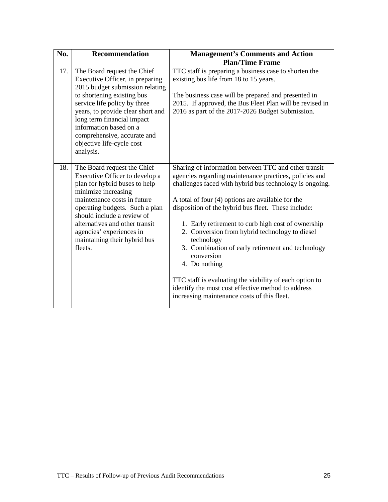| No. | <b>Recommendation</b>                                                                                                                                                                                                                                                                                                                 | <b>Management's Comments and Action</b><br><b>Plan/Time Frame</b>                                                                                                                                                                                                                                                                                                                                                                                                                                                                                                                                                                                               |
|-----|---------------------------------------------------------------------------------------------------------------------------------------------------------------------------------------------------------------------------------------------------------------------------------------------------------------------------------------|-----------------------------------------------------------------------------------------------------------------------------------------------------------------------------------------------------------------------------------------------------------------------------------------------------------------------------------------------------------------------------------------------------------------------------------------------------------------------------------------------------------------------------------------------------------------------------------------------------------------------------------------------------------------|
| 17. | The Board request the Chief<br>Executive Officer, in preparing<br>2015 budget submission relating<br>to shortening existing bus<br>service life policy by three<br>years, to provide clear short and<br>long term financial impact<br>information based on a<br>comprehensive, accurate and<br>objective life-cycle cost<br>analysis. | TTC staff is preparing a business case to shorten the<br>existing bus life from 18 to 15 years.<br>The business case will be prepared and presented in<br>2015. If approved, the Bus Fleet Plan will be revised in<br>2016 as part of the 2017-2026 Budget Submission.                                                                                                                                                                                                                                                                                                                                                                                          |
| 18. | The Board request the Chief<br>Executive Officer to develop a<br>plan for hybrid buses to help<br>minimize increasing<br>maintenance costs in future<br>operating budgets. Such a plan<br>should include a review of<br>alternatives and other transit<br>agencies' experiences in<br>maintaining their hybrid bus<br>fleets.         | Sharing of information between TTC and other transit<br>agencies regarding maintenance practices, policies and<br>challenges faced with hybrid bus technology is ongoing.<br>A total of four (4) options are available for the<br>disposition of the hybrid bus fleet. These include:<br>1. Early retirement to curb high cost of ownership<br>2. Conversion from hybrid technology to diesel<br>technology<br>3. Combination of early retirement and technology<br>conversion<br>4. Do nothing<br>TTC staff is evaluating the viability of each option to<br>identify the most cost effective method to address<br>increasing maintenance costs of this fleet. |